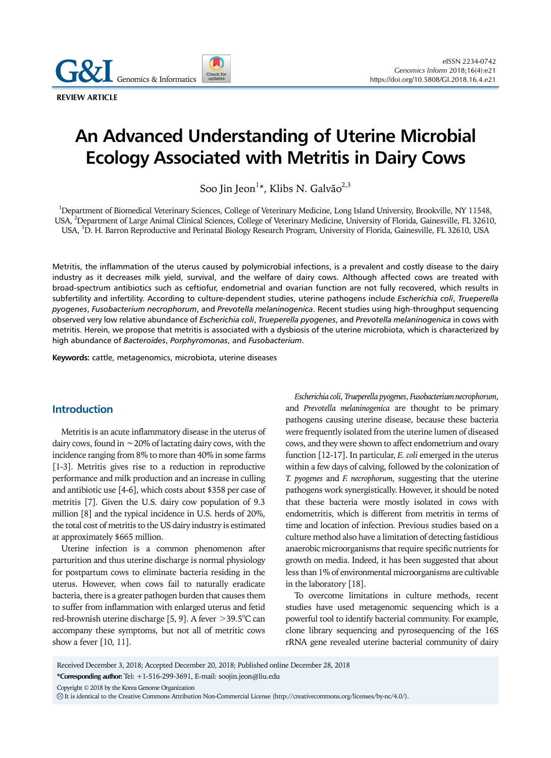Genomics & Informatics

**REVIEW ARTICLE** 

# **An Advanced Understanding of Uterine Microbial Ecology Associated with Metritis in Dairy Cows**

Soo Jin Jeon $^{1*}$ , Klibs N. Galvão $^{2,3}$ 

<sup>1</sup>Department of Biomedical Veterinary Sciences, College of Veterinary Medicine, Long Island University, Brookville, NY 11548, USA, <sup>2</sup>Department of Large Animal Clinical Sciences, College of Veterinary Medicine, University of Florida, Gainesville, FL 32610, USA, <sup>3</sup>D. H. Barron Reproductive and Perinatal Biology Research Program, University of Florida, Gainesville, FL 32610, USA

Metritis, the inflammation of the uterus caused by polymicrobial infections, is a prevalent and costly disease to the dairy industry as it decreases milk yield, survival, and the welfare of dairy cows. Although affected cows are treated with broad-spectrum antibiotics such as ceftiofur, endometrial and ovarian function are not fully recovered, which results in subfertility and infertility. According to culture-dependent studies, uterine pathogens include *Escherichia coli*, *Trueperella pyogenes*, *Fusobacterium necrophorum*, and *Prevotella melaninogenica*. Recent studies using high-throughput sequencing observed very low relative abundance of *Escherichia coli*, *Trueperella pyogenes*, and *Prevotella melaninogenica* in cows with metritis. Herein, we propose that metritis is associated with a dysbiosis of the uterine microbiota, which is characterized by high abundance of *Bacteroides*, *Porphyromonas*, and *Fusobacterium*.

**Keywords:** cattle, metagenomics, microbiota, uterine diseases

## **Introduction**

Metritis is an acute inflammatory disease in the uterus of dairy cows, found in ∼20% of lactating dairy cows, with the incidence ranging from 8% to more than 40% in some farms [1-3]. Metritis gives rise to a reduction in reproductive performance and milk production and an increase in culling and antibiotic use [4-6], which costs about \$358 per case of metritis [7]. Given the U.S. dairy cow population of 9.3 million [8] and the typical incidence in U.S. herds of 20%, the total cost of metritis to the US dairy industry is estimated at approximately \$665 million.

Uterine infection is a common phenomenon after parturition and thus uterine discharge is normal physiology for postpartum cows to eliminate bacteria residing in the uterus. However, when cows fail to naturally eradicate bacteria, there is a greater pathogen burden that causes them to suffer from inflammation with enlarged uterus and fetid red-brownish uterine discharge [5, 9]. A fever  $>$ 39.5 $^{\circ}$ C can accompany these symptoms, but not all of metritic cows show a fever [10, 11].

*Escherichia coli*, *Trueperella pyogenes*, *Fusobacterium necrophorum*, and *Prevotella melaninogenica* are thought to be primary pathogens causing uterine disease, because these bacteria were frequently isolated from the uterine lumen of diseased cows, and they were shown to affect endometrium and ovary function [12-17]. In particular, *E. coli* emerged in the uterus within a few days of calving, followed by the colonization of *T. pyogenes* and *F. necrophorum*, suggesting that the uterine pathogens work synergistically. However, it should be noted that these bacteria were mostly isolated in cows with endometritis, which is different from metritis in terms of time and location of infection. Previous studies based on a culture method also have a limitation of detecting fastidious anaerobic microorganisms that require specific nutrients for growth on media. Indeed, it has been suggested that about less than 1% of environmental microorganisms are cultivable in the laboratory [18].

To overcome limitations in culture methods, recent studies have used metagenomic sequencing which is a powerful tool to identify bacterial community. For example, clone library sequencing and pyrosequencing of the 16S rRNA gene revealed uterine bacterial community of dairy

Received December 3, 2018; Accepted December 20, 2018; Published online December 28, 2018

Copyright © 2018 by the Korea Genome Organization

**<sup>\*</sup>Corresponding author:** Tel: +1-516-299-3691, E-mail: soojin.jeon@liu.edu

CC It is identical to the Creative Commons Attribution Non-Commercial License (http://creativecommons.org/licenses/by-nc/4.0/).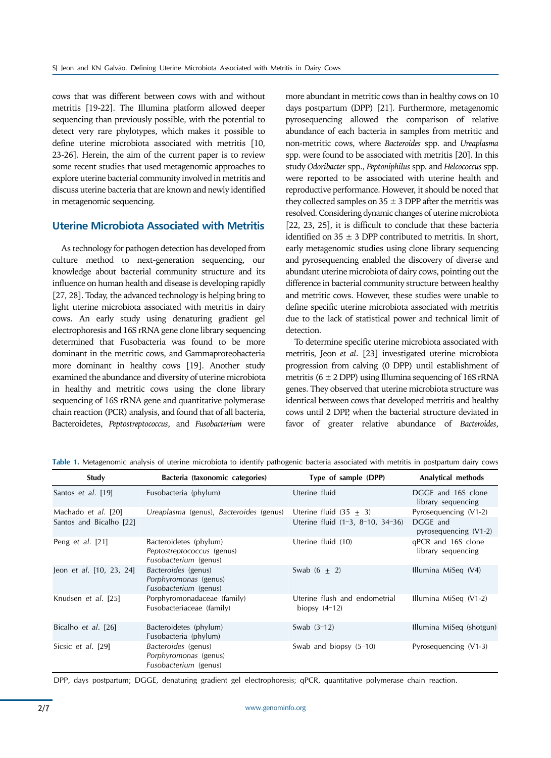cows that was different between cows with and without metritis [19-22]. The Illumina platform allowed deeper sequencing than previously possible, with the potential to detect very rare phylotypes, which makes it possible to define uterine microbiota associated with metritis [10, 23-26]. Herein, the aim of the current paper is to review some recent studies that used metagenomic approaches to explore uterine bacterial community involved in metritis and discuss uterine bacteria that are known and newly identified in metagenomic sequencing.

## **Uterine Microbiota Associated with Metritis**

As technology for pathogen detection has developed from culture method to next-generation sequencing, our knowledge about bacterial community structure and its influence on human health and disease is developing rapidly [27, 28]. Today, the advanced technology is helping bring to light uterine microbiota associated with metritis in dairy cows. An early study using denaturing gradient gel electrophoresis and 16S rRNA gene clone library sequencing determined that Fusobacteria was found to be more dominant in the metritic cows, and Gammaproteobacteria more dominant in healthy cows [19]. Another study examined the abundance and diversity of uterine microbiota in healthy and metritic cows using the clone library sequencing of 16S rRNA gene and quantitative polymerase chain reaction (PCR) analysis, and found that of all bacteria, Bacteroidetes, *Peptostreptococcus*, and *Fusobacterium* were

more abundant in metritic cows than in healthy cows on 10 days postpartum (DPP) [21]. Furthermore, metagenomic pyrosequencing allowed the comparison of relative abundance of each bacteria in samples from metritic and non-metritic cows, where *Bacteroides* spp. and *Ureaplasma* spp. were found to be associated with metritis [20]. In this study *Odoribacter* spp., *Peptoniphilus* spp. and *Helcococcus* spp. were reported to be associated with uterine health and reproductive performance. However, it should be noted that they collected samples on  $35 \pm 3$  DPP after the metritis was resolved. Considering dynamic changes of uterine microbiota [22, 23, 25], it is difficult to conclude that these bacteria identified on  $35 \pm 3$  DPP contributed to metritis. In short, early metagenomic studies using clone library sequencing and pyrosequencing enabled the discovery of diverse and abundant uterine microbiota of dairy cows, pointing out the difference in bacterial community structure between healthy and metritic cows. However, these studies were unable to define specific uterine microbiota associated with metritis due to the lack of statistical power and technical limit of detection.

To determine specific uterine microbiota associated with metritis, Jeon *et al*. [23] investigated uterine microbiota progression from calving (0 DPP) until establishment of metritis ( $6 \pm 2$  DPP) using Illumina sequencing of 16S rRNA genes. They observed that uterine microbiota structure was identical between cows that developed metritis and healthy cows until 2 DPP, when the bacterial structure deviated in favor of greater relative abundance of *Bacteroides*,

| Study                    | Bacteria (taxonomic categories)                                                      | Type of sample (DPP)                             | Analytical methods                       |
|--------------------------|--------------------------------------------------------------------------------------|--------------------------------------------------|------------------------------------------|
| Santos et al. [19]       | Fusobacteria (phylum)                                                                | Uterine fluid                                    | DGGE and 16S clone<br>library sequencing |
| Machado et al. [20]      | Ureaplasma (genus), Bacteroides (genus)                                              | Uterine fluid $(35 + 3)$                         | Pyrosequencing (V1-2)                    |
| Santos and Bicalho [22]  |                                                                                      | Uterine fluid $(1-3, 8-10, 34-36)$               | DGGE and<br>pyrosequencing $(V1-2)$      |
| Peng et al. [21]         | Bacteroidetes (phylum)<br>Peptostreptococcus (genus)<br><i>Fusobacterium</i> (genus) | Uterine fluid (10)                               | gPCR and 16S clone<br>library sequencing |
| Jeon et al. [10, 23, 24] | Bacteroides (genus)<br>Porphyromonas (genus)<br>Fusobacterium (genus)                | Swab $(6 + 2)$                                   | Illumina MiSeq (V4)                      |
| Knudsen et al. [25]      | Porphyromonadaceae (family)<br>Fusobacteriaceae (family)                             | Uterine flush and endometrial<br>biopsy $(4-12)$ | Illumina MiSeq (V1-2)                    |
| Bicalho et al. [26]      | Bacteroidetes (phylum)<br>Fusobacteria (phylum)                                      | Swab $(3-12)$                                    | Illumina MiSeg (shotgun)                 |
| Sicsic et al. [29]       | Bacteroides (genus)<br>Porphyromonas (genus)<br>Fusobacterium (genus)                | Swab and biopsy $(5-10)$                         | Pyrosequencing (V1-3)                    |

**Table 1.** Metagenomic analysis of uterine microbiota to identify pathogenic bacteria associated with metritis in postpartum dairy cows

DPP, days postpartum; DGGE, denaturing gradient gel electrophoresis; qPCR, quantitative polymerase chain reaction.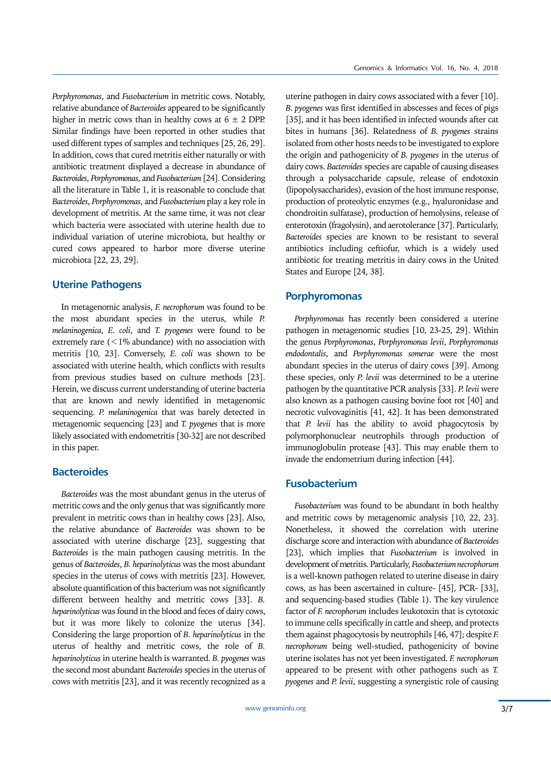*Porphyromonas*, and *Fusobacterium* in metritic cows. Notably, relative abundance of *Bacteroides* appeared to be significantly higher in metric cows than in healthy cows at  $6 \pm 2$  DPP. Similar findings have been reported in other studies that used different types of samples and techniques [25, 26, 29]. In addition, cows that cured metritis either naturally or with antibiotic treatment displayed a decrease in abundance of *Bacteroides*, *Porphyromonas*, and *Fusobacterium* [24]. Considering all the literature in Table 1, it is reasonable to conclude that *Bacteroides*, *Porphyromonas*, and *Fusobacterium* play a key role in development of metritis. At the same time, it was not clear which bacteria were associated with uterine health due to individual variation of uterine microbiota, but healthy or cured cows appeared to harbor more diverse uterine microbiota [22, 23, 29].

#### **Uterine Pathogens**

In metagenomic analysis, *F. necrophorum* was found to be the most abundant species in the uterus, while *P. melaninogenica*, *E. coli*, and *T. pyogenes* were found to be extremely rare  $(<1%$  abundance) with no association with metritis [10, 23]. Conversely, *E. coli* was shown to be associated with uterine health, which conflicts with results from previous studies based on culture methods [23]. Herein, we discuss current understanding of uterine bacteria that are known and newly identified in metagenomic sequencing. *P. melaninogenica* that was barely detected in metagenomic sequencing [23] and *T. pyogenes* that is more likely associated with endometritis [30-32] are not described in this paper.

### **Bacteroides**

*Bacteroides* was the most abundant genus in the uterus of metritic cows and the only genus that was significantly more prevalent in metritic cows than in healthy cows [23]. Also, the relative abundance of *Bacteroides* was shown to be associated with uterine discharge [23], suggesting that *Bacteroides* is the main pathogen causing metritis. In the genus of *Bacteroides*, *B. heparinolyticus* was the most abundant species in the uterus of cows with metritis [23]. However, absolute quantification of this bacterium was not significantly different between healthy and metritic cows [33]. *B. heparinolyticus* was found in the blood and feces of dairy cows, but it was more likely to colonize the uterus [34]. Considering the large proportion of *B. heparinolyticus* in the uterus of healthy and metritic cows, the role of *B. heparinolyticus* in uterine health is warranted. *B. pyogenes* was the second most abundant *Bacteroides* species in the uterus of cows with metritis [23], and it was recently recognized as a

uterine pathogen in dairy cows associated with a fever [10]. *B. pyogenes* was first identified in abscesses and feces of pigs [35], and it has been identified in infected wounds after cat bites in humans [36]. Relatedness of *B. pyogenes* strains isolated from other hosts needs to be investigated to explore the origin and pathogenicity of *B. pyogenes* in the uterus of dairy cows. *Bacteroides* species are capable of causing diseases through a polysaccharide capsule, release of endotoxin (lipopolysaccharides), evasion of the host immune response, production of proteolytic enzymes (e.g., hyaluronidase and chondroitin sulfatase), production of hemolysins, release of enterotoxin (fragolysin), and aerotolerance [37]. Particularly, *Bacteroides* species are known to be resistant to several antibiotics including ceftiofur, which is a widely used antibiotic for treating metritis in dairy cows in the United States and Europe [24, 38].

#### **Porphyromonas**

*Porphyromonas* has recently been considered a uterine pathogen in metagenomic studies [10, 23-25, 29]. Within the genus *Porphyromonas*, *Porphyromonas levii*, *Porphyromonas endodontalis*, and *Porphyromonas somerae* were the most abundant species in the uterus of dairy cows [39]. Among these species, only *P. levii* was determined to be a uterine pathogen by the quantitative PCR analysis [33]. *P. levii* were also known as a pathogen causing bovine foot rot [40] and necrotic vulvovaginitis [41, 42]. It has been demonstrated that *P. levii* has the ability to avoid phagocytosis by polymorphonuclear neutrophils through production of immunoglobulin protease [43]. This may enable them to invade the endometrium during infection [44].

### **Fusobacterium**

*Fusobacterium* was found to be abundant in both healthy and metritic cows by metagenomic analysis [10, 22, 23]. Nonetheless, it showed the correlation with uterine discharge score and interaction with abundance of *Bacteroides* [23], which implies that *Fusobacterium* is involved in development of metritis. Particularly, *Fusobacterium necrophorum* is a well-known pathogen related to uterine disease in dairy cows, as has been ascertained in culture- [45], PCR- [33], and sequencing-based studies (Table 1). The key virulence factor of *F. necrophorum* includes leukotoxin that is cytotoxic to immune cells specifically in cattle and sheep, and protects them against phagocytosis by neutrophils [46, 47]; despite *F. necrophorum* being well-studied, pathogenicity of bovine uterine isolates has not yet been investigated. *F. necrophorum* appeared to be present with other pathogens such as *T. pyogenes* and *P. levii*, suggesting a synergistic role of causing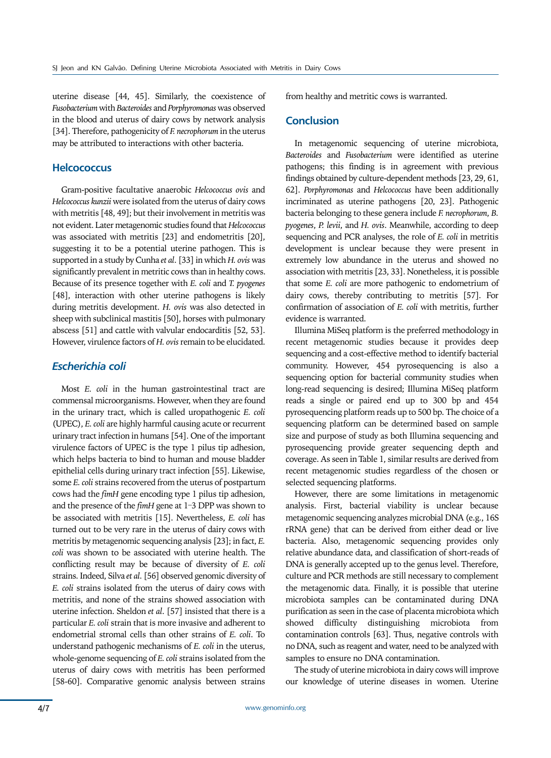uterine disease [44, 45]. Similarly, the coexistence of *Fusobacterium* with *Bacteroides* and *Porphyromonas* was observed in the blood and uterus of dairy cows by network analysis [34]. Therefore, pathogenicity of *F. necrophorum* in the uterus may be attributed to interactions with other bacteria.

## **Helcococcus**

Gram-positive facultative anaerobic *Helcococcus ovis* and *Helcococcus kunzii* were isolated from the uterus of dairy cows with metritis [48, 49]; but their involvement in metritis was not evident. Later metagenomic studies found that *Helcococcus* was associated with metritis [23] and endometritis [20], suggesting it to be a potential uterine pathogen. This is supported in a study by Cunha *et al*. [33] in which *H. ovis* was significantly prevalent in metritic cows than in healthy cows. Because of its presence together with *E. coli* and *T. pyogenes* [48], interaction with other uterine pathogens is likely during metritis development. *H. ovis* was also detected in sheep with subclinical mastitis [50], horses with pulmonary abscess [51] and cattle with valvular endocarditis [52, 53]. However, virulence factors of *H. ovis* remain to be elucidated.

### *Escherichia coli*

Most *E. coli* in the human gastrointestinal tract are commensal microorganisms. However, when they are found in the urinary tract, which is called uropathogenic *E. coli* (UPEC), *E. coli* are highly harmful causing acute or recurrent urinary tract infection in humans [54]. One of the important virulence factors of UPEC is the type 1 pilus tip adhesion, which helps bacteria to bind to human and mouse bladder epithelial cells during urinary tract infection [55]. Likewise, some *E. coli* strains recovered from the uterus of postpartum cows had the *fimH* gene encoding type 1 pilus tip adhesion, and the presence of the *fimH* gene at 1-3 DPP was shown to be associated with metritis [15]. Nevertheless, *E. coli* has turned out to be very rare in the uterus of dairy cows with metritis by metagenomic sequencing analysis [23]; in fact, *E. coli* was shown to be associated with uterine health. The conflicting result may be because of diversity of *E. coli* strains. Indeed, Silva *et al*. [56] observed genomic diversity of *E. coli* strains isolated from the uterus of dairy cows with metritis, and none of the strains showed association with uterine infection. Sheldon *et al*. [57] insisted that there is a particular *E. coli* strain that is more invasive and adherent to endometrial stromal cells than other strains of *E. coli*. To understand pathogenic mechanisms of *E. coli* in the uterus, whole-genome sequencing of *E. coli* strains isolated from the uterus of dairy cows with metritis has been performed [58-60]. Comparative genomic analysis between strains from healthy and metritic cows is warranted.

#### **Conclusion**

In metagenomic sequencing of uterine microbiota, *Bacteroides* and *Fusobacterium* were identified as uterine pathogens; this finding is in agreement with previous findings obtained by culture-dependent methods [23, 29, 61, 62]. *Porphyromonas* and *Helcococcus* have been additionally incriminated as uterine pathogens [20, 23]. Pathogenic bacteria belonging to these genera include *F. necrophorum*, *B. pyogenes*, *P. levii*, and *H. ovis*. Meanwhile, according to deep sequencing and PCR analyses, the role of *E. coli* in metritis development is unclear because they were present in extremely low abundance in the uterus and showed no association with metritis [23, 33]. Nonetheless, it is possible that some *E. coli* are more pathogenic to endometrium of dairy cows, thereby contributing to metritis [57]. For confirmation of association of *E. coli* with metritis, further evidence is warranted.

Illumina MiSeq platform is the preferred methodology in recent metagenomic studies because it provides deep sequencing and a cost-effective method to identify bacterial community. However, 454 pyrosequencing is also a sequencing option for bacterial community studies when long-read sequencing is desired; Illumina MiSeq platform reads a single or paired end up to 300 bp and 454 pyrosequencing platform reads up to 500 bp. The choice of a sequencing platform can be determined based on sample size and purpose of study as both Illumina sequencing and pyrosequencing provide greater sequencing depth and coverage. As seen in Table 1, similar results are derived from recent metagenomic studies regardless of the chosen or selected sequencing platforms.

However, there are some limitations in metagenomic analysis. First, bacterial viability is unclear because metagenomic sequencing analyzes microbial DNA (e.g., 16S rRNA gene) that can be derived from either dead or live bacteria. Also, metagenomic sequencing provides only relative abundance data, and classification of short-reads of DNA is generally accepted up to the genus level. Therefore, culture and PCR methods are still necessary to complement the metagenomic data. Finally, it is possible that uterine microbiota samples can be contaminated during DNA purification as seen in the case of placenta microbiota which showed difficulty distinguishing microbiota from contamination controls [63]. Thus, negative controls with no DNA, such as reagent and water, need to be analyzed with samples to ensure no DNA contamination.

The study of uterine microbiota in dairy cows will improve our knowledge of uterine diseases in women. Uterine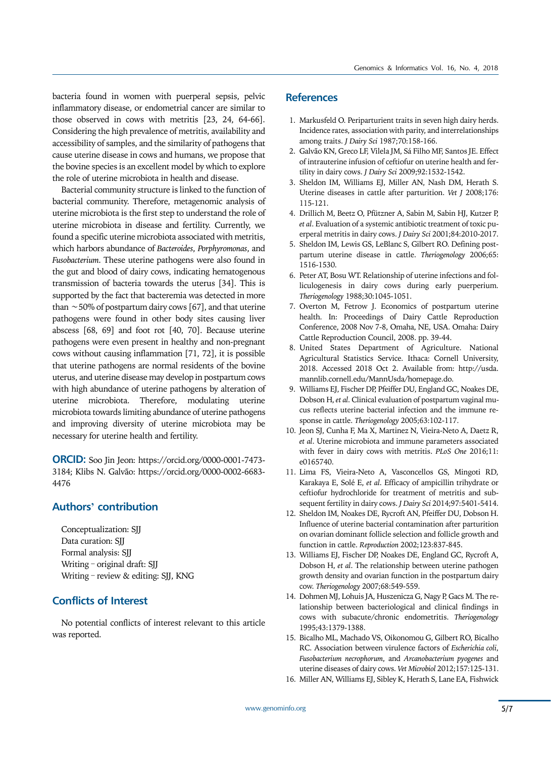bacteria found in women with puerperal sepsis, pelvic inflammatory disease, or endometrial cancer are similar to those observed in cows with metritis [23, 24, 64-66]. Considering the high prevalence of metritis, availability and accessibility of samples, and the similarity of pathogens that cause uterine disease in cows and humans, we propose that the bovine species is an excellent model by which to explore the role of uterine microbiota in health and disease.

Bacterial community structure is linked to the function of bacterial community. Therefore, metagenomic analysis of uterine microbiota is the first step to understand the role of uterine microbiota in disease and fertility. Currently, we found a specific uterine microbiota associated with metritis, which harbors abundance of *Bacteroides*, *Porphyromonas*, and *Fusobacterium*. These uterine pathogens were also found in the gut and blood of dairy cows, indicating hematogenous transmission of bacteria towards the uterus [34]. This is supported by the fact that bacteremia was detected in more than ∼50% of postpartum dairy cows [67], and that uterine pathogens were found in other body sites causing liver abscess [68, 69] and foot rot [40, 70]. Because uterine pathogens were even present in healthy and non-pregnant cows without causing inflammation [71, 72], it is possible that uterine pathogens are normal residents of the bovine uterus, and uterine disease may develop in postpartum cows with high abundance of uterine pathogens by alteration of uterine microbiota. Therefore, modulating uterine microbiota towards limiting abundance of uterine pathogens and improving diversity of uterine microbiota may be necessary for uterine health and fertility.

**ORCID:** Soo Jin Jeon: https://orcid.org/0000-0001-7473- 3184; Klibs N. Galvão: https://orcid.org/0000-0002-6683- 4476

# **Authors' contribution**

Conceptualization: SJJ Data curation: SJJ Formal analysis: SJJ Writing – original draft: SJJ Writing – review & editing: SJJ, KNG

# **Conflicts of Interest**

No potential conflicts of interest relevant to this article was reported.

# **References**

- 1. Markusfeld O. Periparturient traits in seven high dairy herds. Incidence rates, association with parity, and interrelationships among traits. *J Dairy Sci* 1987;70:158-166.
- 2. Galvão KN, Greco LF, Vilela JM, Sá Filho MF, Santos JE. Effect of intrauterine infusion of ceftiofur on uterine health and fertility in dairy cows. *J Dairy Sci* 2009;92:1532-1542.
- 3. Sheldon IM, Williams EJ, Miller AN, Nash DM, Herath S. Uterine diseases in cattle after parturition. *Vet J* 2008;176: 115-121.
- 4. Drillich M, Beetz O, Pfützner A, Sabin M, Sabin HJ, Kutzer P, *et al*. Evaluation of a systemic antibiotic treatment of toxic puerperal metritis in dairy cows. *J Dairy Sci* 2001;84:2010-2017.
- 5. Sheldon IM, Lewis GS, LeBlanc S, Gilbert RO. Defining postpartum uterine disease in cattle. *Theriogenology* 2006;65: 1516-1530.
- 6. Peter AT, Bosu WT. Relationship of uterine infections and folliculogenesis in dairy cows during early puerperium. *Theriogenology* 1988;30:1045-1051.
- 7. Overton M, Fetrow J. Economics of postpartum uterine health. In: Proceedings of Dairy Cattle Reproduction Conference, 2008 Nov 7-8, Omaha, NE, USA. Omaha: Dairy Cattle Reproduction Council, 2008. pp. 39-44.
- 8. United States Department of Agriculture. National Agricultural Statistics Service. Ithaca: Cornell University, 2018. Accessed 2018 Oct 2. Available from: http://usda. mannlib.cornell.edu/MannUsda/homepage.do.
- 9. Williams EJ, Fischer DP, Pfeiffer DU, England GC, Noakes DE, Dobson H, *et al*. Clinical evaluation of postpartum vaginal mucus reflects uterine bacterial infection and the immune response in cattle. *Theriogenology* 2005;63:102-117.
- 10. Jeon SJ, Cunha F, Ma X, Martinez N, Vieira-Neto A, Daetz R, *et al*. Uterine microbiota and immune parameters associated with fever in dairy cows with metritis. *PLoS One* 2016;11: e0165740.
- 11. Lima FS, Vieira-Neto A, Vasconcellos GS, Mingoti RD, Karakaya E, Solé E, *et al*. Efficacy of ampicillin trihydrate or ceftiofur hydrochloride for treatment of metritis and subsequent fertility in dairy cows. *J Dairy Sci* 2014;97:5401-5414.
- 12. Sheldon IM, Noakes DE, Rycroft AN, Pfeiffer DU, Dobson H. Influence of uterine bacterial contamination after parturition on ovarian dominant follicle selection and follicle growth and function in cattle. *Reproduction* 2002;123:837-845.
- 13. Williams EJ, Fischer DP, Noakes DE, England GC, Rycroft A, Dobson H, *et al*. The relationship between uterine pathogen growth density and ovarian function in the postpartum dairy cow. *Theriogenology* 2007;68:549-559.
- 14. Dohmen MJ, Lohuis JA, Huszenicza G, Nagy P, Gacs M. The relationship between bacteriological and clinical findings in cows with subacute/chronic endometritis. *Theriogenology* 1995;43:1379-1388.
- 15. Bicalho ML, Machado VS, Oikonomou G, Gilbert RO, Bicalho RC. Association between virulence factors of *Escherichia coli*, *Fusobacterium necrophorum*, and *Arcanobacterium pyogenes* and uterine diseases of dairy cows. *Vet Microbiol* 2012;157:125-131.
- 16. Miller AN, Williams EJ, Sibley K, Herath S, Lane EA, Fishwick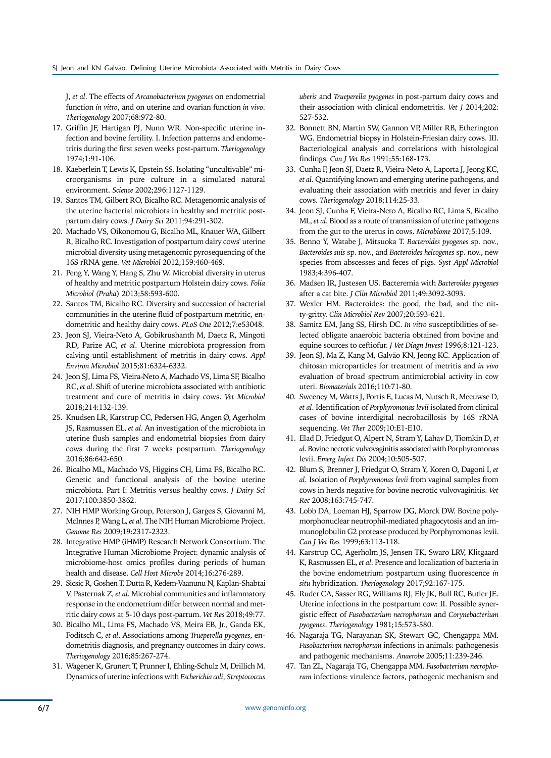J, *et al*. The effects of *Arcanobacterium pyogenes* on endometrial function *in vitro*, and on uterine and ovarian function *in vivo*. *Theriogenology* 2007;68:972-80.

- 17. Griffin JF, Hartigan PJ, Nunn WR. Non-specific uterine infection and bovine fertility. I. Infection patterns and endometritis during the first seven weeks post-partum. *Theriogenology*  1974;1:91-106.
- 18. Kaeberlein T, Lewis K, Epstein SS. Isolating "uncultivable" microorganisms in pure culture in a simulated natural environment. *Science* 2002;296:1127-1129.
- 19. Santos TM, Gilbert RO, Bicalho RC. Metagenomic analysis of the uterine bacterial microbiota in healthy and metritic postpartum dairy cows. *J Dairy Sci* 2011;94:291-302.
- 20. Machado VS, Oikonomou G, Bicalho ML, Knauer WA, Gilbert R, Bicalho RC. Investigation of postpartum dairy cows' uterine microbial diversity using metagenomic pyrosequencing of the 16S rRNA gene. *Vet Microbiol* 2012;159:460-469.
- 21. Peng Y, Wang Y, Hang S, Zhu W. Microbial diversity in uterus of healthy and metritic postpartum Holstein dairy cows. *Folia Microbiol (Praha*) 2013;58:593-600.
- 22. Santos TM, Bicalho RC. Diversity and succession of bacterial communities in the uterine fluid of postpartum metritic, endometritic and healthy dairy cows. *PLoS One* 2012;7:e53048.
- 23. Jeon SJ, Vieira-Neto A, Gobikrushanth M, Daetz R, Mingoti RD, Parize AC, *et al*. Uterine microbiota progression from calving until establishment of metritis in dairy cows. *Appl Environ Microbiol* 2015;81:6324-6332.
- 24. Jeon SJ, Lima FS, Vieira-Neto A, Machado VS, Lima SF, Bicalho RC, *et al*. Shift of uterine microbiota associated with antibiotic treatment and cure of metritis in dairy cows. *Vet Microbiol* 2018;214:132-139.
- 25. Knudsen LR, Karstrup CC, Pedersen HG, Angen Ø, Agerholm JS, Rasmussen EL, *et al*. An investigation of the microbiota in uterine flush samples and endometrial biopsies from dairy cows during the first 7 weeks postpartum. *Theriogenology* 2016;86:642-650.
- 26. Bicalho ML, Machado VS, Higgins CH, Lima FS, Bicalho RC. Genetic and functional analysis of the bovine uterine microbiota. Part I: Metritis versus healthy cows. *J Dairy Sci* 2017;100:3850-3862.
- 27. NIH HMP Working Group, Peterson J, Garges S, Giovanni M, McInnes P, Wang L, *et al*. The NIH Human Microbiome Project. *Genome Res* 2009;19:2317-2323.
- 28. Integrative HMP (iHMP) Research Network Consortium. The Integrative Human Microbiome Project: dynamic analysis of microbiome-host omics profiles during periods of human health and disease. *Cell Host Microbe* 2014;16:276-289.
- 29. Sicsic R, Goshen T, Dutta R, Kedem-Vaanunu N, Kaplan-Shabtai V, Pasternak Z, *et al*. Microbial communities and inflammatory response in the endometrium differ between normal and metritic dairy cows at 5-10 days post-partum. *Vet Res* 2018;49:77.
- 30. Bicalho ML, Lima FS, Machado VS, Meira EB, Jr., Ganda EK, Foditsch C, *et al*. Associations among *Trueperella pyogenes*, endometritis diagnosis, and pregnancy outcomes in dairy cows. *Theriogenology* 2016;85:267-274.
- 31. Wagener K, Grunert T, Prunner I, Ehling-Schulz M, Drillich M. Dynamics of uterine infections with *Escherichia coli*, *Streptococcus*

*uberis* and *Trueperella pyogenes* in post-partum dairy cows and their association with clinical endometritis. *Vet J* 2014;202: 527-532.

- 32. Bonnett BN, Martin SW, Gannon VP, Miller RB, Etherington WG. Endometrial biopsy in Holstein-Friesian dairy cows. III. Bacteriological analysis and correlations with histological findings. *Can J Vet Res* 1991;55:168-173.
- 33. Cunha F, Jeon SJ, Daetz R, Vieira-Neto A, Laporta J, Jeong KC, *et al*. Quantifying known and emerging uterine pathogens, and evaluating their association with metritis and fever in dairy cows. *Theriogenology* 2018;114:25-33.
- 34. Jeon SJ, Cunha F, Vieira-Neto A, Bicalho RC, Lima S, Bicalho ML, *et al*. Blood as a route of transmission of uterine pathogens from the gut to the uterus in cows. *Microbiome* 2017;5:109.
- 35. Benno Y, Watabe J, Mitsuoka T. *Bacteroides pyogenes* sp. nov., *Bacteroides suis* sp. nov., and *Bacteroides helcogenes* sp. nov., new species from abscesses and feces of pigs. *Syst Appl Microbiol* 1983;4:396-407.
- 36. Madsen IR, Justesen US. Bacteremia with *Bacteroides pyogenes* after a cat bite. *J Clin Microbiol* 2011;49:3092-3093.
- 37. Wexler HM. Bacteroides: the good, the bad, and the nitty-gritty. *Clin Microbiol Rev* 2007;20:593-621.
- 38. Samitz EM, Jang SS, Hirsh DC. *In vitro* susceptibilities of selected obligate anaerobic bacteria obtained from bovine and equine sources to ceftiofur. *J Vet Diagn Invest* 1996;8:121-123.
- 39. Jeon SJ, Ma Z, Kang M, Galvão KN, Jeong KC. Application of chitosan microparticles for treatment of metritis and *in vivo* evaluation of broad spectrum antimicrobial activity in cow uteri. *Biomaterials* 2016;110:71-80.
- 40. Sweeney M, Watts J, Portis E, Lucas M, Nutsch R, Meeuwse D, *et al*. Identification of *Porphyromonas levii* isolated from clinical cases of bovine interdigital necrobacillosis by 16S rRNA sequencing. *Vet Ther* 2009;10:E1-E10.
- 41. Elad D, Friedgut O, Alpert N, Stram Y, Lahav D, Tiomkin D, *et al*. Bovine necrotic vulvovaginitis associated with Porphyromonas levii. *Emerg Infect Dis* 2004;10:505-507.
- 42. Blum S, Brenner J, Friedgut O, Stram Y, Koren O, Dagoni I, *et al*. Isolation of *Porphyromonas levii* from vaginal samples from cows in herds negative for bovine necrotic vulvovaginitis. *Vet Rec* 2008;163:745-747.
- 43. Lobb DA, Loeman HJ, Sparrow DG, Morck DW. Bovine polymorphonuclear neutrophil-mediated phagocytosis and an immunoglobulin G2 protease produced by Porphyromonas levii. *Can J Vet Res* 1999;63:113-118.
- 44. Karstrup CC, Agerholm JS, Jensen TK, Swaro LRV, Klitgaard K, Rasmussen EL, *et al*. Presence and localization of bacteria in the bovine endometrium postpartum using fluorescence *in situ* hybridization. *Theriogenology* 2017;92:167-175.
- 45. Ruder CA, Sasser RG, Williams RJ, Ely JK, Bull RC, Butler JE. Uterine infections in the postpartum cow: II. Possible synergistic effect of *Fusobacterium necrophorum* and *Corynebacterium pyogenes*. *Theriogenology* 1981;15:573-580.
- 46. Nagaraja TG, Narayanan SK, Stewart GC, Chengappa MM. *Fusobacterium necrophorum* infections in animals: pathogenesis and pathogenic mechanisms. *Anaerobe* 2005;11:239-246.
- 47. Tan ZL, Nagaraja TG, Chengappa MM. *Fusobacterium necrophorum* infections: virulence factors, pathogenic mechanism and